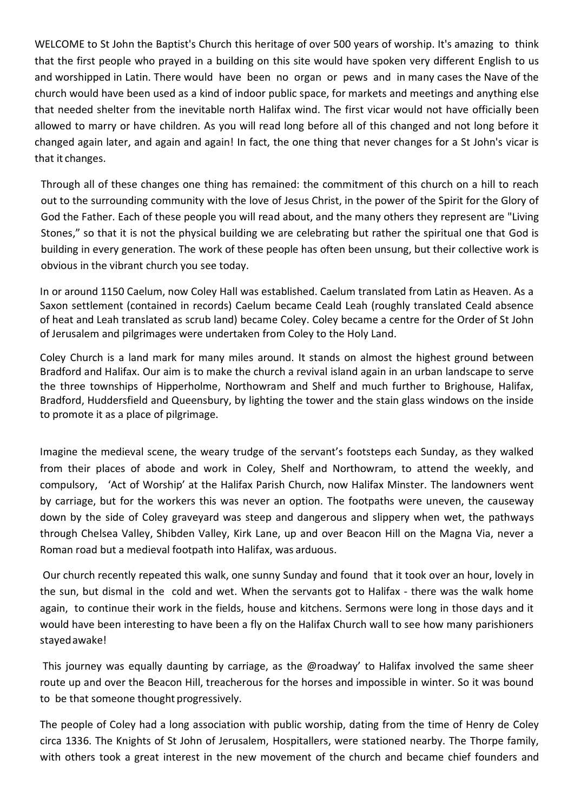WELCOME to St John the Baptist's Church this heritage of over 500 years of worship. It's amazing to think that the first people who prayed in a building on this site would have spoken very different English to us and worshipped in Latin. There would have been no organ or pews and in many cases the Nave of the church would have been used as a kind of indoor public space, for markets and meetings and anything else that needed shelter from the inevitable north Halifax wind. The first vicar would not have officially been allowed to marry or have children. As you will read long before all of this changed and not long before it changed again later, and again and again! In fact, the one thing that never changes for a St John's vicar is that it changes.

Through all of these changes one thing has remained: the commitment of this church on a hill to reach out to the surrounding community with the love of Jesus Christ, in the power of the Spirit for the Glory of God the Father. Each of these people you will read about, and the many others they represent are "Living Stones," so that it is not the physical building we are celebrating but rather the spiritual one that God is building in every generation. The work of these people has often been unsung, but their collective work is obvious in the vibrant church you see today.

In or around 1150 Caelum, now Coley Hall was established. Caelum translated from Latin as Heaven. As a Saxon settlement (contained in records) Caelum became Ceald Leah (roughly translated Ceald absence of heat and Leah translated as scrub land) became Coley. Coley became a centre for the Order of St John of Jerusalem and pilgrimages were undertaken from Coley to the Holy Land.

Coley Church is a land mark for many miles around. It stands on almost the highest ground between Bradford and Halifax. Our aim is to make the church a revival island again in an urban landscape to serve the three townships of Hipperholme, Northowram and Shelf and much further to Brighouse, Halifax, Bradford, Huddersfield and Queensbury, by lighting the tower and the stain glass windows on the inside to promote it as a place of pilgrimage.

Imagine the medieval scene, the weary trudge of the servant's footsteps each Sunday, as they walked from their places of abode and work in Coley, Shelf and Northowram, to attend the weekly, and compulsory, 'Act of Worship' at the Halifax Parish Church, now Halifax Minster. The landowners went by carriage, but for the workers this was never an option. The footpaths were uneven, the causeway down by the side of Coley graveyard was steep and dangerous and slippery when wet, the pathways through Chelsea Valley, Shibden Valley, Kirk Lane, up and over Beacon Hill on the Magna Via, never a Roman road but a medieval footpath into Halifax, was arduous.

Our church recently repeated this walk, one sunny Sunday and found that it took over an hour, lovely in the sun, but dismal in the cold and wet. When the servants got to Halifax - there was the walk home again, to continue their work in the fields, house and kitchens. Sermons were long in those days and it would have been interesting to have been a fly on the Halifax Church wall to see how many parishioners stayedawake!

This journey was equally daunting by carriage, as the @roadway' to Halifax involved the same sheer route up and over the Beacon Hill, treacherous for the horses and impossible in winter. So it was bound to be that someone thought progressively.

The people of Coley had a long association with public worship, dating from the time of Henry de Coley circa 1336. The Knights of St John of Jerusalem, Hospitallers, were stationed nearby. The Thorpe family, with others took a great interest in the new movement of the church and became chief founders and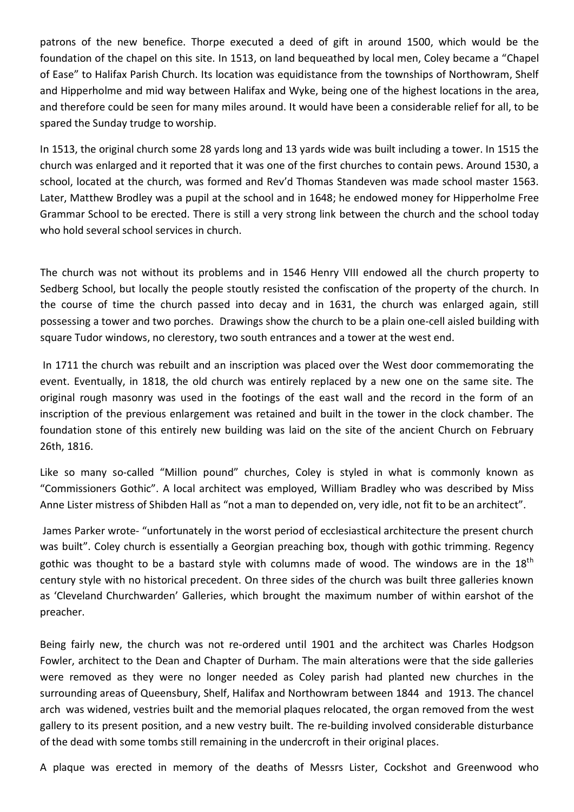patrons of the new benefice. Thorpe executed a deed of gift in around 1500, which would be the foundation of the chapel on this site. In 1513, on land bequeathed by local men, Coley became a "Chapel of Ease" to Halifax Parish Church. Its location was equidistance from the townships of Northowram, Shelf and Hipperholme and mid way between Halifax and Wyke, being one of the highest locations in the area, and therefore could be seen for many miles around. It would have been a considerable relief for all, to be spared the Sunday trudge to worship.

In 1513, the original church some 28 yards long and 13 yards wide was built including a tower. In 1515 the church was enlarged and it reported that it was one of the first churches to contain pews. Around 1530, a school, located at the church, was formed and Rev'd Thomas Standeven was made school master 1563. Later, Matthew Brodley was a pupil at the school and in 1648; he endowed money for Hipperholme Free Grammar School to be erected. There is still a very strong link between the church and the school today who hold several school services in church.

The church was not without its problems and in 1546 Henry VIII endowed all the church property to Sedberg School, but locally the people stoutly resisted the confiscation of the property of the church. In the course of time the church passed into decay and in 1631, the church was enlarged again, still possessing a tower and two porches. Drawings show the church to be a plain one-cell aisled building with square Tudor windows, no clerestory, two south entrances and a tower at the west end.

In 1711 the church was rebuilt and an inscription was placed over the West door commemorating the event. Eventually, in 1818, the old church was entirely replaced by a new one on the same site. The original rough masonry was used in the footings of the east wall and the record in the form of an inscription of the previous enlargement was retained and built in the tower in the clock chamber. The foundation stone of this entirely new building was laid on the site of the ancient Church on February 26th, 1816.

Like so many so-called "Million pound" churches, Coley is styled in what is commonly known as "Commissioners Gothic". A local architect was employed, William Bradley who was described by Miss Anne Lister mistress of Shibden Hall as "not a man to depended on, very idle, not fit to be an architect".

James Parker wrote- "unfortunately in the worst period of ecclesiastical architecture the present church was built". Coley church is essentially a Georgian preaching box, though with gothic trimming. Regency gothic was thought to be a bastard style with columns made of wood. The windows are in the  $18<sup>th</sup>$ century style with no historical precedent. On three sides of the church was built three galleries known as 'Cleveland Churchwarden' Galleries, which brought the maximum number of within earshot of the preacher.

Being fairly new, the church was not re-ordered until 1901 and the architect was Charles Hodgson Fowler, architect to the Dean and Chapter of Durham. The main alterations were that the side galleries were removed as they were no longer needed as Coley parish had planted new churches in the surrounding areas of Queensbury, Shelf, Halifax and Northowram between 1844 and 1913. The chancel arch was widened, vestries built and the memorial plaques relocated, the organ removed from the west gallery to its present position, and a new vestry built. The re-building involved considerable disturbance of the dead with some tombs still remaining in the undercroft in their original places.

A plaque was erected in memory of the deaths of Messrs Lister, Cockshot and Greenwood who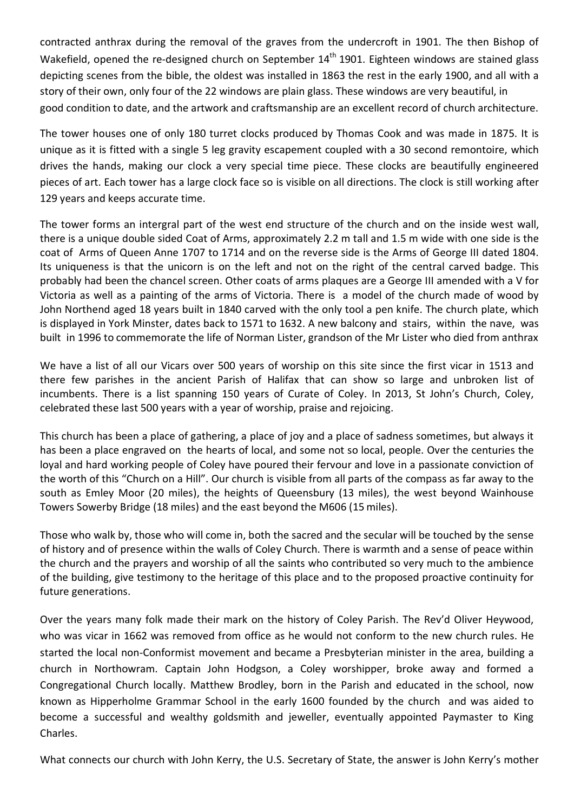contracted anthrax during the removal of the graves from the undercroft in 1901. The then Bishop of Wakefield, opened the re-designed church on September 14<sup>th</sup> 1901. Eighteen windows are stained glass depicting scenes from the bible, the oldest was installed in 1863 the rest in the early 1900, and all with a story of their own, only four of the 22 windows are plain glass. These windows are very beautiful, in good condition to date, and the artwork and craftsmanship are an excellent record of church architecture.

The tower houses one of only 180 turret clocks produced by Thomas Cook and was made in 1875. It is unique as it is fitted with a single 5 leg gravity escapement coupled with a 30 second remontoire, which drives the hands, making our clock a very special time piece. These clocks are beautifully engineered pieces of art. Each tower has a large clock face so is visible on all directions. The clock is still working after 129 years and keeps accurate time.

The tower forms an intergral part of the west end structure of the church and on the inside west wall, there is a unique double sided Coat of Arms, approximately 2.2 m tall and 1.5 m wide with one side is the coat of Arms of Queen Anne 1707 to 1714 and on the reverse side is the Arms of George III dated 1804. Its uniqueness is that the unicorn is on the left and not on the right of the central carved badge. This probably had been the chancel screen. Other coats of arms plaques are a George III amended with a V for Victoria as well as a painting of the arms of Victoria. There is a model of the church made of wood by John Northend aged 18 years built in 1840 carved with the only tool a pen knife. The church plate, which is displayed in York Minster, dates back to 1571 to 1632. A new balcony and stairs, within the nave, was built in 1996 to commemorate the life of Norman Lister, grandson of the Mr Lister who died from anthrax

We have a list of all our Vicars over 500 years of worship on this site since the first vicar in 1513 and there few parishes in the ancient Parish of Halifax that can show so large and unbroken list of incumbents. There is a list spanning 150 years of Curate of Coley. In 2013, St John's Church, Coley, celebrated these last 500 years with a year of worship, praise and rejoicing.

This church has been a place of gathering, a place of joy and a place of sadness sometimes, but always it has been a place engraved on the hearts of local, and some not so local, people. Over the centuries the loyal and hard working people of Coley have poured their fervour and love in a passionate conviction of the worth of this "Church on a Hill". Our church is visible from all parts of the compass as far away to the south as Emley Moor (20 miles), the heights of Queensbury (13 miles), the west beyond Wainhouse Towers Sowerby Bridge (18 miles) and the east beyond the M606 (15 miles).

Those who walk by, those who will come in, both the sacred and the secular will be touched by the sense of history and of presence within the walls of Coley Church. There is warmth and a sense of peace within the church and the prayers and worship of all the saints who contributed so very much to the ambience of the building, give testimony to the heritage of this place and to the proposed proactive continuity for future generations.

Over the years many folk made their mark on the history of Coley Parish. The Rev'd Oliver Heywood, who was vicar in 1662 was removed from office as he would not conform to the new church rules. He started the local non-Conformist movement and became a Presbyterian minister in the area, building a church in Northowram. Captain John Hodgson, a Coley worshipper, broke away and formed a Congregational Church locally. Matthew Brodley, born in the Parish and educated in the school, now known as Hipperholme Grammar School in the early 1600 founded by the church and was aided to become a successful and wealthy goldsmith and jeweller, eventually appointed Paymaster to King Charles.

What connects our church with John Kerry, the U.S. Secretary of State, the answer is John Kerry's mother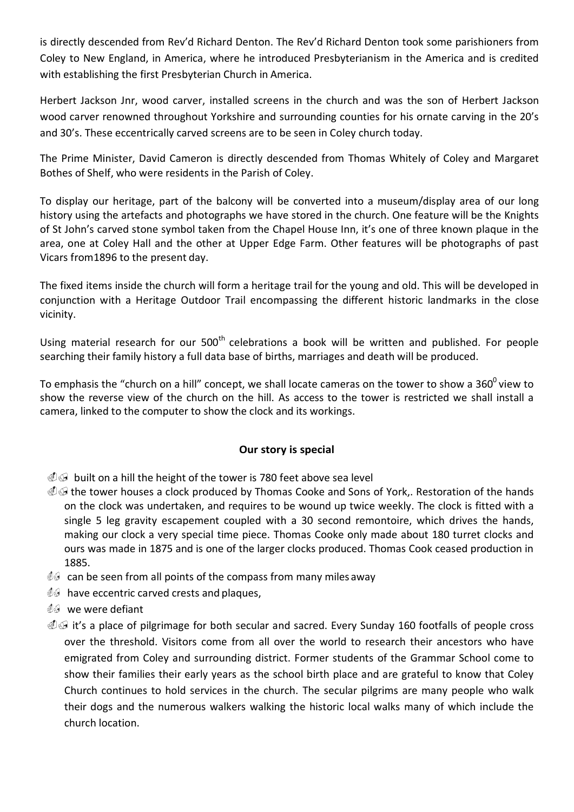is directly descended from Rev'd Richard Denton. The Rev'd Richard Denton took some parishioners from Coley to New England, in America, where he introduced Presbyterianism in the America and is credited with establishing the first Presbyterian Church in America.

Herbert Jackson Jnr, wood carver, installed screens in the church and was the son of Herbert Jackson wood carver renowned throughout Yorkshire and surrounding counties for his ornate carving in the 20's and 30's. These eccentrically carved screens are to be seen in Coley church today.

The Prime Minister, David Cameron is directly descended from Thomas Whitely of Coley and Margaret Bothes of Shelf, who were residents in the Parish of Coley.

To display our heritage, part of the balcony will be converted into a museum/display area of our long history using the artefacts and photographs we have stored in the church. One feature will be the Knights of St John's carved stone symbol taken from the Chapel House Inn, it's one of three known plaque in the area, one at Coley Hall and the other at Upper Edge Farm. Other features will be photographs of past Vicars from1896 to the present day.

The fixed items inside the church will form a heritage trail for the young and old. This will be developed in conjunction with a Heritage Outdoor Trail encompassing the different historic landmarks in the close vicinity.

Using material research for our 500<sup>th</sup> celebrations a book will be written and published. For people searching their family history a full data base of births, marriages and death will be produced.

To emphasis the "church on a hill" concept, we shall locate cameras on the tower to show a 360 $^{\circ}$  view to show the reverse view of the church on the hill. As access to the tower is restricted we shall install a camera, linked to the computer to show the clock and its workings.

## **Our story is special**

 $\mathcal{A}$  built on a hill the height of the tower is 780 feet above sea level

- $\mathcal{F}\oplus\mathcal{F}$  the tower houses a clock produced by Thomas Cooke and Sons of York,. Restoration of the hands on the clock was undertaken, and requires to be wound up twice weekly. The clock is fitted with a single 5 leg gravity escapement coupled with a 30 second remontoire, which drives the hands, making our clock a very special time piece. Thomas Cooke only made about 180 turret clocks and ours was made in 1875 and is one of the larger clocks produced. Thomas Cook ceased production in 1885.
- $\mathcal{Q}$  can be seen from all points of the compass from many miles away
- $\mathcal{Q}$  have eccentric carved crests and plaques,
- ./ we were defiant
- $\mathcal{Q}$  it's a place of pilgrimage for both secular and sacred. Every Sunday 160 footfalls of people cross over the threshold. Visitors come from all over the world to research their ancestors who have emigrated from Coley and surrounding district. Former students of the Grammar School come to show their families their early years as the school birth place and are grateful to know that Coley Church continues to hold services in the church. The secular pilgrims are many people who walk their dogs and the numerous walkers walking the historic local walks many of which include the church location.